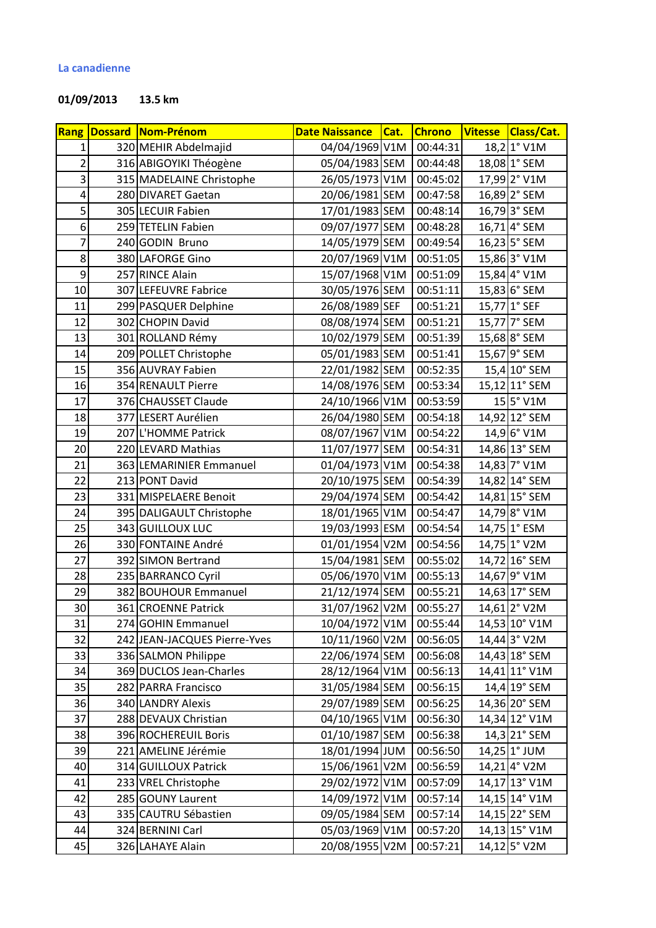## **01/09/2013 13.5 km**

|                | Rang Dossard Nom-Prénom      | <b>Date Naissance</b> | Cat. | <b>Chrono</b> | <b>Vitesse</b> | Class/Cat.     |
|----------------|------------------------------|-----------------------|------|---------------|----------------|----------------|
| $1\vert$       | 320 MEHIR Abdelmajid         | 04/04/1969 V1M        |      | 00:44:31      |                | 18,2 1° V1M    |
| $\overline{2}$ | 316 ABIGOYIKI Théogène       | 05/04/1983 SEM        |      | 00:44:48      |                | 18,08 1° SEM   |
| $\overline{3}$ | 315 MADELAINE Christophe     | 26/05/1973 V1M        |      | 00:45:02      |                | 17,99 2° V1M   |
| $\overline{4}$ | 280 DIVARET Gaetan           | 20/06/1981 SEM        |      | 00:47:58      |                | 16,89 2° SEM   |
| $\overline{5}$ | 305 LECUIR Fabien            | 17/01/1983 SEM        |      | 00:48:14      |                | 16,79 3° SEM   |
| $6 \mid$       | 259 TETELIN Fabien           | 09/07/1977 SEM        |      | 00:48:28      |                | 16,71 4° SEM   |
| $\overline{7}$ | 240 GODIN Bruno              | 14/05/1979 SEM        |      | 00:49:54      |                | $16,23$ 5° SEM |
| 8 <sup>1</sup> | 380 LAFORGE Gino             | 20/07/1969 V1M        |      | 00:51:05      |                | 15,86 3° V1M   |
| $\overline{9}$ | 257 RINCE Alain              | 15/07/1968 V1M        |      | 00:51:09      |                | 15,84 4° V1M   |
| 10             | 307 LEFEUVRE Fabrice         | 30/05/1976 SEM        |      | 00:51:11      |                | 15,83 6° SEM   |
| 11             | 299 PASQUER Delphine         | 26/08/1989 SEF        |      | 00:51:21      |                | 15,77 1° SEF   |
| 12             | 302 CHOPIN David             | 08/08/1974 SEM        |      | 00:51:21      |                | 15,77 7° SEM   |
| 13             | 301 ROLLAND Rémy             | 10/02/1979 SEM        |      | 00:51:39      |                | 15,68 8° SEM   |
| 14             | 209 POLLET Christophe        | 05/01/1983 SEM        |      | 00:51:41      |                | 15,67 9° SEM   |
| 15             | 356 AUVRAY Fabien            | 22/01/1982 SEM        |      | 00:52:35      |                | 15,4 10° SEM   |
| 16             | 354 RENAULT Pierre           | 14/08/1976 SEM        |      | 00:53:34      |                | 15,12 11° SEM  |
| 17             | 376 CHAUSSET Claude          | 24/10/1966 V1M        |      | 00:53:59      |                | 15 5° V1M      |
| 18             | 377 LESERT Aurélien          | 26/04/1980 SEM        |      | 00:54:18      |                | 14,92 12° SEM  |
| 19             | 207 L'HOMME Patrick          | 08/07/1967 V1M        |      | 00:54:22      |                | 14,9 6° V1M    |
| 20             | 220 LEVARD Mathias           | 11/07/1977 SEM        |      | 00:54:31      |                | 14,86 13° SEM  |
| 21             | 363 LEMARINIER Emmanuel      | 01/04/1973 V1M        |      | 00:54:38      |                | 14,83 7° V1M   |
| 22             | 213 PONT David               | 20/10/1975 SEM        |      | 00:54:39      |                | 14,82 14° SEM  |
| 23             | 331 MISPELAERE Benoit        | 29/04/1974 SEM        |      | 00:54:42      |                | 14,81 15° SEM  |
| 24             | 395 DALIGAULT Christophe     | 18/01/1965 V1M        |      | 00:54:47      |                | 14,79 8° V1M   |
| 25             | 343 GUILLOUX LUC             | 19/03/1993 ESM        |      | 00:54:54      |                | 14,75 1° ESM   |
| 26             | 330 FONTAINE André           | 01/01/1954 V2M        |      | 00:54:56      |                | 14,75 1° V2M   |
| 27             | 392 SIMON Bertrand           | 15/04/1981 SEM        |      | 00:55:02      |                | 14,72 16° SEM  |
| 28             | 235 BARRANCO Cyril           | 05/06/1970 V1M        |      | 00:55:13      |                | 14,67 9° V1M   |
| 29             | 382 BOUHOUR Emmanuel         | 21/12/1974 SEM        |      | 00:55:21      |                | 14,63 17° SEM  |
| 30             | 361 CROENNE Patrick          | 31/07/1962 V2M        |      | 00:55:27      |                | 14,61 2° V2M   |
| 31             | 274 GOHIN Emmanuel           | 10/04/1972 V1M        |      | 00:55:44      |                | 14,53 10° V1M  |
| 32             | 242 JEAN-JACQUES Pierre-Yves | 10/11/1960 V2M        |      | 00:56:05      |                | 14,44 3° V2M   |
| 33             | 336 SALMON Philippe          | 22/06/1974 SEM        |      | 00:56:08      |                | 14,43 18° SEM  |
| 34             | 369 DUCLOS Jean-Charles      | 28/12/1964 V1M        |      | 00:56:13      |                | 14,41 11° V1M  |
| 35             | 282 PARRA Francisco          | 31/05/1984 SEM        |      | 00:56:15      |                | 14,4 19° SEM   |
| 36             | <b>340 LANDRY Alexis</b>     | 29/07/1989 SEM        |      | 00:56:25      |                | 14,36 20° SEM  |
| 37             | 288 DEVAUX Christian         | 04/10/1965 V1M        |      | 00:56:30      |                | 14,34 12° V1M  |
| 38             | 396 ROCHEREUIL Boris         | 01/10/1987 SEM        |      | 00:56:38      |                | 14,3 21° SEM   |
| 39             | 221 AMELINE Jérémie          | 18/01/1994 JUM        |      | 00:56:50      |                | $14,25$ 1° JUM |
| 40             | 314 GUILLOUX Patrick         | 15/06/1961 V2M        |      | 00:56:59      |                | 14,21 4° V2M   |
| 41             | 233 VREL Christophe          | 29/02/1972 V1M        |      | 00:57:09      |                | 14,17 13° V1M  |
| 42             | 285 GOUNY Laurent            | 14/09/1972 V1M        |      | 00:57:14      |                | 14,15 14° V1M  |
| 43             | 335 CAUTRU Sébastien         | 09/05/1984 SEM        |      | 00:57:14      |                | 14,15 22° SEM  |
| 44             | 324 BERNINI Carl             | 05/03/1969 V1M        |      | 00:57:20      |                | 14,13 15° V1M  |
| 45             | 326 LAHAYE Alain             | 20/08/1955 V2M        |      | 00:57:21      |                | 14,12 5° V2M   |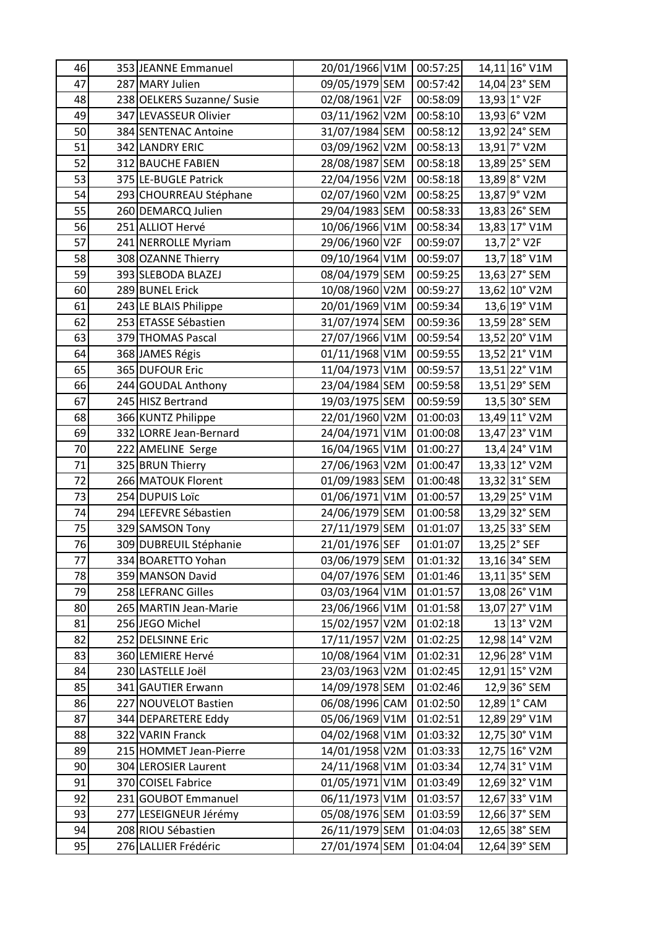| 46 | 353 JEANNE Emmanuel        | 20/01/1966 V1M 00:57:25 |          | 14,11 16° V1M   |
|----|----------------------------|-------------------------|----------|-----------------|
| 47 | 287 MARY Julien            | 09/05/1979 SEM          | 00:57:42 | 14,04 23° SEM   |
| 48 | 238 OELKERS Suzanne/ Susie | 02/08/1961 V2F          | 00:58:09 | 13,93 1° V2F    |
| 49 | 347 LEVASSEUR Olivier      | 03/11/1962 V2M          | 00:58:10 | 13,93 6° V2M    |
| 50 | 384 SENTENAC Antoine       | 31/07/1984 SEM          | 00:58:12 | 13,92 24° SEM   |
| 51 | 342 LANDRY ERIC            | 03/09/1962 V2M          | 00:58:13 | 13,91 7° V2M    |
| 52 | 312 BAUCHE FABIEN          | 28/08/1987 SEM          | 00:58:18 | 13,89 25° SEM   |
| 53 | 375 LE-BUGLE Patrick       | 22/04/1956 V2M          | 00:58:18 | 13,89 8° V2M    |
| 54 | 293 CHOURREAU Stéphane     | 02/07/1960 V2M          | 00:58:25 | 13,87 9° V2M    |
| 55 | 260 DEMARCQ Julien         | 29/04/1983 SEM          | 00:58:33 | 13,83 26° SEM   |
| 56 | 251 ALLIOT Hervé           | 10/06/1966 V1M          | 00:58:34 | 13,83 17° V1M   |
| 57 | 241 NERROLLE Myriam        | 29/06/1960 V2F          | 00:59:07 | 13,7 2° V2F     |
| 58 | 308 OZANNE Thierry         | 09/10/1964 V1M          | 00:59:07 | 13,7 18° V1M    |
| 59 | 393 SLEBODA BLAZEJ         | 08/04/1979 SEM          | 00:59:25 | 13,63 27° SEM   |
| 60 | 289 BUNEL Erick            | 10/08/1960 V2M          | 00:59:27 | 13,62 10° V2M   |
| 61 | 243 LE BLAIS Philippe      | 20/01/1969 V1M          | 00:59:34 | 13,6 19° V1M    |
| 62 | 253 ETASSE Sébastien       | 31/07/1974 SEM          | 00:59:36 | 13,59 28° SEM   |
| 63 | 379 THOMAS Pascal          | 27/07/1966 V1M          | 00:59:54 | 13,52 20° V1M   |
| 64 | 368 JAMES Régis            | 01/11/1968 V1M          | 00:59:55 | 13,52 21° V1M   |
| 65 | 365 DUFOUR Eric            | 11/04/1973 V1M          | 00:59:57 | 13,51 22° V1M   |
| 66 | 244 GOUDAL Anthony         | 23/04/1984 SEM          | 00:59:58 | 13,51 29° SEM   |
| 67 | 245 HISZ Bertrand          | 19/03/1975 SEM          | 00:59:59 | 13,5 30° SEM    |
| 68 | 366 KUNTZ Philippe         | 22/01/1960 V2M          | 01:00:03 | 13,49 11° V2M   |
| 69 | 332 LORRE Jean-Bernard     | 24/04/1971 V1M          | 01:00:08 | 13,47 23° V1M   |
| 70 | 222 AMELINE Serge          | 16/04/1965 V1M          | 01:00:27 | 13,4 24° V1M    |
| 71 | 325 BRUN Thierry           | 27/06/1963 V2M          | 01:00:47 | 13,33 12° V2M   |
| 72 | 266 MATOUK Florent         | 01/09/1983 SEM          | 01:00:48 | 13,32 31° SEM   |
| 73 | 254 DUPUIS Loïc            | 01/06/1971 V1M          | 01:00:57 | 13,29 25° V1M   |
| 74 | 294 LEFEVRE Sébastien      | 24/06/1979 SEM          | 01:00:58 | 13,29 32° SEM   |
| 75 | 329 SAMSON Tony            | 27/11/1979 SEM          | 01:01:07 | 13,25 33° SEM   |
| 76 | 309 DUBREUIL Stéphanie     | 21/01/1976 SEF          | 01:01:07 | 13,25 2° SEF    |
| 77 | 334 BOARETTO Yohan         | 03/06/1979 SEM          | 01:01:32 | 13,16 34° SEM   |
| 78 | 359 MANSON David           | 04/07/1976 SEM          | 01:01:46 | $13,11$ 35° SEM |
| 79 | 258 LEFRANC Gilles         | 03/03/1964 V1M          | 01:01:57 | 13,08 26° V1M   |
| 80 | 265 MARTIN Jean-Marie      | 23/06/1966 V1M          | 01:01:58 | 13,07 27° V1M   |
| 81 | 256 JEGO Michel            | 15/02/1957 V2M          | 01:02:18 | 13 13° V2M      |
| 82 | 252 DELSINNE Eric          | 17/11/1957 V2M          | 01:02:25 | 12,98 14° V2M   |
| 83 | 360 LEMIERE Hervé          | 10/08/1964 V1M          | 01:02:31 | 12,96 28° V1M   |
| 84 | 230 LASTELLE Joël          | 23/03/1963 V2M          | 01:02:45 | 12,91 15° V2M   |
| 85 | 341 GAUTIER Erwann         | 14/09/1978 SEM          | 01:02:46 | $12,9$ 36° SEM  |
| 86 | 227 NOUVELOT Bastien       | 06/08/1996 CAM          | 01:02:50 | 12,89 1° CAM    |
| 87 | 344 DEPARETERE Eddy        | 05/06/1969 V1M          | 01:02:51 | 12,89 29° V1M   |
| 88 | 322 VARIN Franck           | 04/02/1968 V1M          | 01:03:32 | 12,75 30° V1M   |
| 89 | 215 HOMMET Jean-Pierre     | 14/01/1958 V2M          | 01:03:33 | 12,75 16° V2M   |
| 90 | 304 LEROSIER Laurent       | 24/11/1968 V1M          | 01:03:34 | 12,74 31° V1M   |
| 91 | 370 COISEL Fabrice         | 01/05/1971 V1M          | 01:03:49 | 12,69 32° V1M   |
| 92 | 231 GOUBOT Emmanuel        | 06/11/1973 V1M          | 01:03:57 | 12,67 33° V1M   |
| 93 | 277 LESEIGNEUR Jérémy      | 05/08/1976 SEM          | 01:03:59 | 12,66 37° SEM   |
| 94 | 208 RIOU Sébastien         | 26/11/1979 SEM          | 01:04:03 | 12,65 38° SEM   |
| 95 | 276 LALLIER Frédéric       | 27/01/1974 SEM          | 01:04:04 | 12,64 39° SEM   |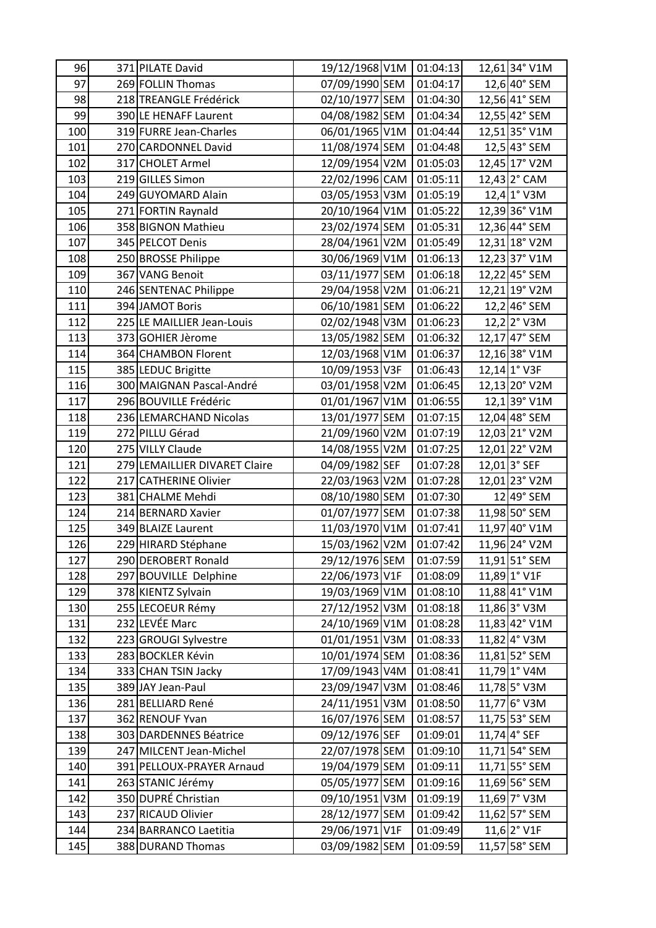| 96  | 371 PILATE David              | 19/12/1968 V1M 01:04:13 |          | 12,61 34° V1M          |
|-----|-------------------------------|-------------------------|----------|------------------------|
| 97  | 269 FOLLIN Thomas             | 07/09/1990 SEM          | 01:04:17 | 12,6 40° SEM           |
| 98  | 218 TREANGLE Frédérick        | 02/10/1977 SEM          | 01:04:30 | 12,56 41° SEM          |
| 99  | 390 LE HENAFF Laurent         | 04/08/1982 SEM          | 01:04:34 | 12,55 42° SEM          |
| 100 | 319 FURRE Jean-Charles        | 06/01/1965 V1M          | 01:04:44 | 12,51 35° V1M          |
| 101 | 270 CARDONNEL David           | 11/08/1974 SEM          | 01:04:48 | 12,5 43° SEM           |
| 102 | 317 CHOLET Armel              | 12/09/1954 V2M          | 01:05:03 | 12,45 17° V2M          |
| 103 | 219 GILLES Simon              | 22/02/1996 CAM          | 01:05:11 | 12,43 2° CAM           |
| 104 | 249 GUYOMARD Alain            | 03/05/1953 V3M          | 01:05:19 | 12,4 1° V3M            |
| 105 | 271 FORTIN Raynald            | 20/10/1964 V1M          | 01:05:22 | 12,39 36° V1M          |
| 106 | 358 BIGNON Mathieu            | 23/02/1974 SEM          | 01:05:31 | 12,36 44° SEM          |
| 107 | 345 PELCOT Denis              | 28/04/1961 V2M          | 01:05:49 | 12,31 18° V2M          |
| 108 | 250 BROSSE Philippe           | 30/06/1969 V1M          | 01:06:13 | 12,23 37° V1M          |
| 109 | 367 VANG Benoit               | 03/11/1977 SEM          | 01:06:18 | 12,22 45° SEM          |
| 110 | 246 SENTENAC Philippe         | 29/04/1958 V2M          | 01:06:21 | 12,21 19° V2M          |
| 111 | 394 JAMOT Boris               | 06/10/1981 SEM          | 01:06:22 | 12,2 46° SEM           |
| 112 | 225 LE MAILLIER Jean-Louis    | 02/02/1948 V3M          | 01:06:23 | $12,2$ $2^{\circ}$ V3M |
| 113 | 373 GOHIER Jèrome             | 13/05/1982 SEM          | 01:06:32 | 12,17 47° SEM          |
| 114 | 364 CHAMBON Florent           | 12/03/1968 V1M          | 01:06:37 | 12,16 38° V1M          |
| 115 | 385 LEDUC Brigitte            | 10/09/1953 V3F          | 01:06:43 | 12,14 1° V3F           |
| 116 | 300 MAIGNAN Pascal-André      | 03/01/1958 V2M          | 01:06:45 | 12,13 20° V2M          |
| 117 | 296 BOUVILLE Frédéric         | 01/01/1967 V1M          | 01:06:55 | 12,1 39° V1M           |
| 118 | 236 LEMARCHAND Nicolas        | 13/01/1977 SEM          | 01:07:15 | 12,04 48° SEM          |
| 119 | 272 PILLU Gérad               | 21/09/1960 V2M          | 01:07:19 | 12,03 21° V2M          |
| 120 | 275 VILLY Claude              | 14/08/1955 V2M          | 01:07:25 | 12,01 22° V2M          |
| 121 | 279 LEMAILLIER DIVARET Claire | 04/09/1982 SEF          | 01:07:28 | $12,01$ 3° SEF         |
| 122 | 217 CATHERINE Olivier         | 22/03/1963 V2M          | 01:07:28 | 12,01 23° V2M          |
| 123 | 381 CHALME Mehdi              | 08/10/1980 SEM          | 01:07:30 | 12 49° SEM             |
| 124 | 214 BERNARD Xavier            | 01/07/1977 SEM          | 01:07:38 | 11,98 50° SEM          |
| 125 | 349 BLAIZE Laurent            | 11/03/1970 V1M          | 01:07:41 | 11,97 40° V1M          |
| 126 | 229 HIRARD Stéphane           | 15/03/1962 V2M          | 01:07:42 | 11,96 24° V2M          |
| 127 | 290 DEROBERT Ronald           | 29/12/1976 SEM          | 01:07:59 | $11,91$ 51° SEM        |
| 128 | 297 BOUVILLE Delphine         | 22/06/1973 V1F          | 01:08:09 | 11,89 1° V1F           |
| 129 | 378 KIENTZ Sylvain            | 19/03/1969 V1M          | 01:08:10 | 11,88 41° V1M          |
| 130 | 255 LECOEUR Rémy              | 27/12/1952 V3M          | 01:08:18 | 11,86 3° V3M           |
| 131 | 232 LEVÉE Marc                | 24/10/1969 V1M          | 01:08:28 | 11,83 42° V1M          |
| 132 | 223 GROUGI Sylvestre          | 01/01/1951 V3M          | 01:08:33 | 11,82 4° V3M           |
| 133 | 283 BOCKLER Kévin             | 10/01/1974 SEM          | 01:08:36 | $11,81$ 52° SEM        |
| 134 | 333 CHAN TSIN Jacky           | 17/09/1943 V4M          | 01:08:41 | 11,79 1° V4M           |
| 135 | 389 JAY Jean-Paul             | 23/09/1947 V3M          | 01:08:46 | 11,78 5° V3M           |
| 136 | 281 BELLIARD René             | 24/11/1951 V3M          | 01:08:50 | 11,77 6° V3M           |
| 137 | 362 RENOUF Yvan               | 16/07/1976 SEM          | 01:08:57 | 11,75 53° SEM          |
| 138 | 303 DARDENNES Béatrice        | 09/12/1976 SEF          | 01:09:01 | $11,74$ 4° SEF         |
| 139 | 247 MILCENT Jean-Michel       | 22/07/1978 SEM          | 01:09:10 | 11,71 54° SEM          |
| 140 | 391 PELLOUX-PRAYER Arnaud     | 19/04/1979 SEM          | 01:09:11 | $11,71$ 55° SEM        |
| 141 | 263 STANIC Jérémy             | 05/05/1977 SEM          | 01:09:16 | 11,69 56° SEM          |
| 142 | 350 DUPRÉ Christian           | 09/10/1951 V3M          | 01:09:19 | 11,69 7° V3M           |
| 143 | 237 RICAUD Olivier            | 28/12/1977 SEM          | 01:09:42 | $11,62$ 57° SEM        |
| 144 | 234 BARRANCO Laetitia         | 29/06/1971 V1F          | 01:09:49 | $11,6$ $2^{\circ}$ V1F |
| 145 | 388 DURAND Thomas             | 03/09/1982 SEM          | 01:09:59 | 11,57 58° SEM          |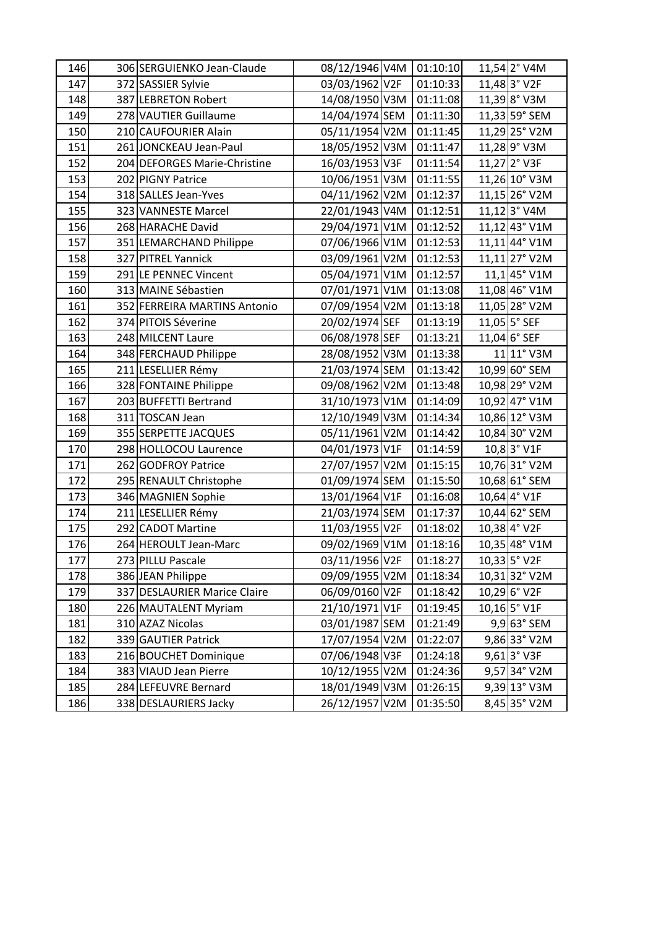| 146 | 306 SERGUIENKO Jean-Claude   | 08/12/1946 V4M | 01:10:10 | 11,54 2° V4M    |
|-----|------------------------------|----------------|----------|-----------------|
| 147 | 372 SASSIER Sylvie           | 03/03/1962 V2F | 01:10:33 | $11,48$ 3° V2F  |
| 148 | 387 LEBRETON Robert          | 14/08/1950 V3M | 01:11:08 | $11,39$ 8° V3M  |
| 149 | 278 VAUTIER Guillaume        | 14/04/1974 SEM | 01:11:30 | $11,33$ 59° SEM |
| 150 | 210 CAUFOURIER Alain         | 05/11/1954 V2M | 01:11:45 | 11,29 25° V2M   |
| 151 | 261 JONCKEAU Jean-Paul       | 18/05/1952 V3M | 01:11:47 | 11,28 9° V3M    |
| 152 | 204 DEFORGES Marie-Christine | 16/03/1953 V3F | 01:11:54 | 11,27 2° V3F    |
| 153 | 202 PIGNY Patrice            | 10/06/1951 V3M | 01:11:55 | 11,26 10° V3M   |
| 154 | 318 SALLES Jean-Yves         | 04/11/1962 V2M | 01:12:37 | 11,15 26° V2M   |
| 155 | 323 VANNESTE Marcel          | 22/01/1943 V4M | 01:12:51 | $11,12$ 3° V4M  |
| 156 | 268 HARACHE David            | 29/04/1971 V1M | 01:12:52 | 11,12 43° V1M   |
| 157 | 351 LEMARCHAND Philippe      | 07/06/1966 V1M | 01:12:53 | 11,11 44° V1M   |
| 158 | 327 PITREL Yannick           | 03/09/1961 V2M | 01:12:53 | 11,11 27° V2M   |
| 159 | 291 LE PENNEC Vincent        | 05/04/1971 V1M | 01:12:57 | $11,1$ 45° V1M  |
| 160 | 313 MAINE Sébastien          | 07/01/1971 V1M | 01:13:08 | 11,08 46° V1M   |
| 161 | 352 FERREIRA MARTINS Antonio | 07/09/1954 V2M | 01:13:18 | 11,05 28° V2M   |
| 162 | 374 PITOIS Séverine          | 20/02/1974 SEF | 01:13:19 | 11,05 5° SEF    |
| 163 | 248 MILCENT Laure            | 06/08/1978 SEF | 01:13:21 | 11,04 6° SEF    |
| 164 | 348 FERCHAUD Philippe        | 28/08/1952 V3M | 01:13:38 | 11 11° V3M      |
| 165 | 211 LESELLIER Rémy           | 21/03/1974 SEM | 01:13:42 | 10,99 60° SEM   |
| 166 | 328 FONTAINE Philippe        | 09/08/1962 V2M | 01:13:48 | 10,98 29° V2M   |
| 167 | 203 BUFFETTI Bertrand        | 31/10/1973 V1M | 01:14:09 | 10,92 47° V1M   |
| 168 | 311 TOSCAN Jean              | 12/10/1949 V3M | 01:14:34 | 10,86 12° V3M   |
| 169 | 355 SERPETTE JACQUES         | 05/11/1961 V2M | 01:14:42 | 10,84 30° V2M   |
| 170 | 298 HOLLOCOU Laurence        | 04/01/1973 V1F | 01:14:59 | 10,8 3° V1F     |
| 171 | 262 GODFROY Patrice          | 27/07/1957 V2M | 01:15:15 | 10,76 31° V2M   |
| 172 | 295 RENAULT Christophe       | 01/09/1974 SEM | 01:15:50 | 10,68 61° SEM   |
| 173 | 346 MAGNIEN Sophie           | 13/01/1964 V1F | 01:16:08 | 10,64 4° V1F    |
| 174 | 211 LESELLIER Rémy           | 21/03/1974 SEM | 01:17:37 | 10,44 62° SEM   |
| 175 | 292 CADOT Martine            | 11/03/1955 V2F | 01:18:02 | 10,38 4° V2F    |
| 176 | 264 HEROULT Jean-Marc        | 09/02/1969 V1M | 01:18:16 | 10,35 48° V1M   |
| 177 | 273 PILLU Pascale            | 03/11/1956 V2F | 01:18:27 | 10,33 5° V2F    |
| 178 | 386 JEAN Philippe            | 09/09/1955 V2M | 01:18:34 | 10,31 32° V2M   |
| 179 | 337 DESLAURIER Marice Claire | 06/09/0160 V2F | 01:18:42 | 10,29 6° V2F    |
| 180 | 226 MAUTALENT Myriam         | 21/10/1971 V1F | 01:19:45 | $10,16$ 5° V1F  |
| 181 | 310 AZAZ Nicolas             | 03/01/1987 SEM | 01:21:49 | $9,9$ 63° SEM   |
| 182 | 339 GAUTIER Patrick          | 17/07/1954 V2M | 01:22:07 | 9,86 33° V2M    |
| 183 | 216 BOUCHET Dominique        | 07/06/1948 V3F | 01:24:18 | 9,61 3° V3F     |
| 184 | 383 VIAUD Jean Pierre        | 10/12/1955 V2M | 01:24:36 | $9,57$ 34° V2M  |
| 185 | 284 LEFEUVRE Bernard         | 18/01/1949 V3M | 01:26:15 | $9,39$ 13° V3M  |
| 186 | 338 DESLAURIERS Jacky        | 26/12/1957 V2M | 01:35:50 | 8,45 35° V2M    |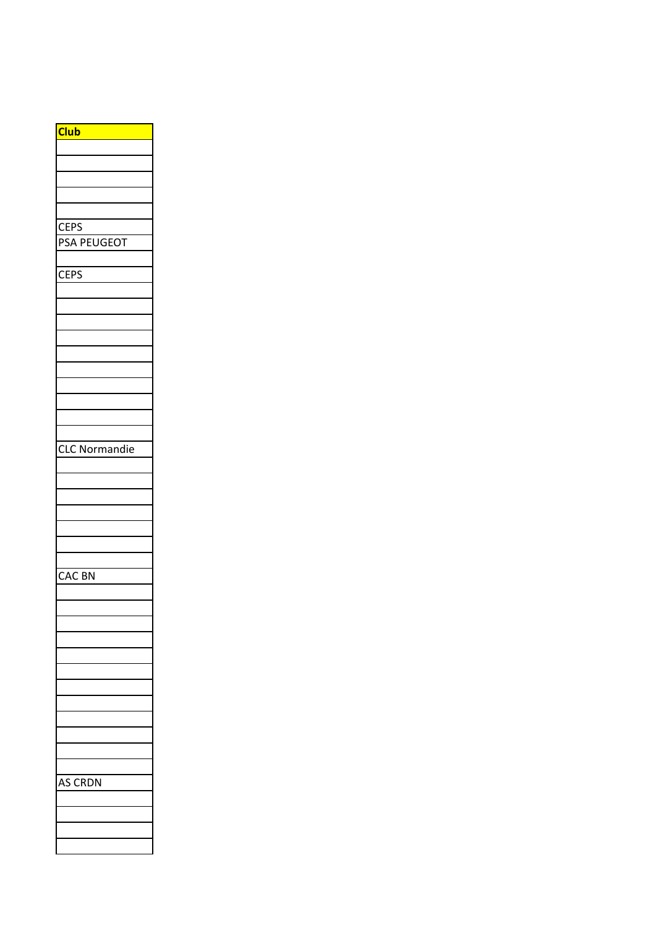| <b>CEPS</b><br>PSA PEUGEOT<br><b>CEPS</b><br><b>CLC Normandie</b><br>CAC BN |
|-----------------------------------------------------------------------------|
|                                                                             |
|                                                                             |
|                                                                             |
|                                                                             |
|                                                                             |
|                                                                             |
|                                                                             |
|                                                                             |
|                                                                             |
|                                                                             |
|                                                                             |
|                                                                             |
|                                                                             |
|                                                                             |
|                                                                             |
|                                                                             |
|                                                                             |
|                                                                             |
|                                                                             |
|                                                                             |
|                                                                             |
|                                                                             |
|                                                                             |
|                                                                             |
|                                                                             |
|                                                                             |
|                                                                             |
|                                                                             |
|                                                                             |
|                                                                             |
|                                                                             |
|                                                                             |
|                                                                             |
|                                                                             |
|                                                                             |
|                                                                             |
|                                                                             |
|                                                                             |
|                                                                             |
|                                                                             |
|                                                                             |
|                                                                             |
| RDN<br>C                                                                    |
|                                                                             |
|                                                                             |
|                                                                             |
|                                                                             |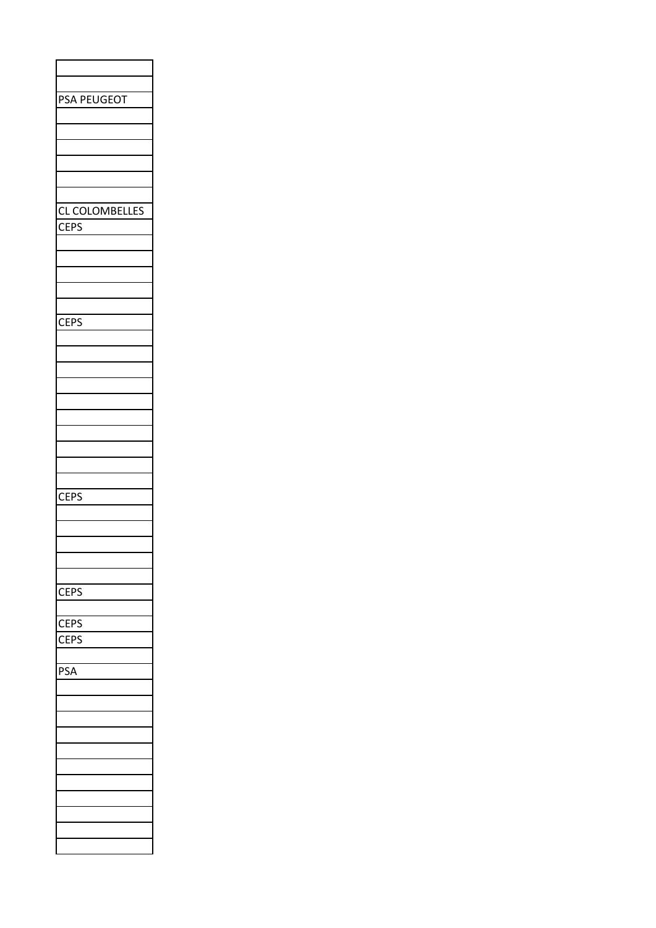| <b>PSA PEUGEOT</b>    |
|-----------------------|
|                       |
|                       |
|                       |
|                       |
|                       |
|                       |
|                       |
|                       |
| <b>CL COLOMBELLES</b> |
| <b>CEPS</b>           |
|                       |
|                       |
|                       |
|                       |
|                       |
|                       |
| <b>CEPS</b>           |
|                       |
|                       |
|                       |
|                       |
|                       |
|                       |
|                       |
|                       |
|                       |
|                       |
|                       |
|                       |
|                       |
| <b>CEPS</b>           |
|                       |
|                       |
|                       |
|                       |
|                       |
|                       |
| <b>CEPS</b>           |
|                       |
| <b>CEPS</b>           |
| <b>CEPS</b>           |
|                       |
|                       |
| PSA                   |
|                       |
|                       |
|                       |
|                       |
|                       |
|                       |
|                       |
|                       |
|                       |
|                       |
|                       |
|                       |
|                       |